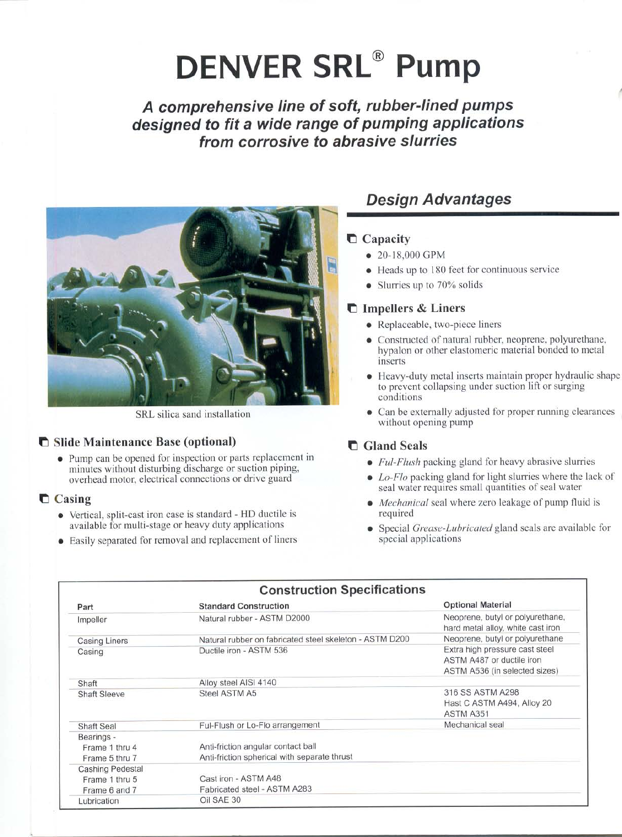## **DENVER SRL® Pump**

A comprehensive line of soft, rubber-lined pumps designed to fit a wide range of pumping applications from corrosive to abrasive slurries



SRL silica sand installation

## Slide Maintenance Base (optional)

• Pump can be opened for inspection or parts replacement in minutes without disturbing discharge or suction piping, overhead motor, electrical connections or drive guard

## $\Box$  Casing

- Vertical, split-cast iron case is standard HD ductile is available for multi-stage or heavy duty applications
- Easily separated for removal and replacement of liners

## **Design Advantages**

## Capacity

- 20-18,000 GPM
- Heads up to 180 feet for continuous service
- Slurries up to 70% solids

## **helph** Impellers & Liners

- Replaceable, two-piece liners
- Constructed of natural rubber, neoprene, polyurethane, hypalon or other elastomeric material bonded to metal inserts
- Heavy-duty metal inserts maintain proper hydraulic shape to prevent collapsing under suction lift or surging conditions
- Can be externally adjusted for proper running clearances  $\bullet$ without opening pump

## **C** Gland Seals

- *Ful-Flush* packing gland for heavy abrasive slurries
- $\bullet$  Lo-Flo packing gland for light slurries where the lack of seal water requires small quantities of seal water
- *Mechanical* seal where zero leakage of pump fluid is required
- Special *Grease-Lubricated* gland seals are available for special applications

| <b>Construction Specifications</b>             |                                                                                    |                                                                                                   |  |  |  |  |  |  |  |
|------------------------------------------------|------------------------------------------------------------------------------------|---------------------------------------------------------------------------------------------------|--|--|--|--|--|--|--|
| Part                                           | <b>Standard Construction</b>                                                       | <b>Optional Material</b><br>Neoprene, butyl or polyurethane,<br>hard metal alloy, white cast iron |  |  |  |  |  |  |  |
| Impeller                                       | Natural rubber - ASTM D2000                                                        |                                                                                                   |  |  |  |  |  |  |  |
| <b>Casing Liners</b>                           | Natural rubber on fabricated steel skeleton - ASTM D200                            | Neoprene, butyl or polyurethane                                                                   |  |  |  |  |  |  |  |
| Casing                                         | Ductile iron - ASTM 536                                                            | Extra high pressure cast steel<br>ASTM A487 or ductile iron<br>ASTM A536 (in selected sizes)      |  |  |  |  |  |  |  |
| Shaft                                          | Alloy steel AISI 4140                                                              |                                                                                                   |  |  |  |  |  |  |  |
| <b>Shaft Sleeve</b>                            | Steel ASTM A5                                                                      | 316 SS ASTM A298<br>Hast C ASTM A494, Alloy 20<br>ASTM A351                                       |  |  |  |  |  |  |  |
| <b>Shaft Seal</b>                              | Ful-Flush or Lo-Flo arrangement                                                    | Mechanical seal                                                                                   |  |  |  |  |  |  |  |
| Bearings -<br>Frame 1 thru 4<br>Frame 5 thru 7 | Anti-friction angular contact ball<br>Anti-friction spherical with separate thrust |                                                                                                   |  |  |  |  |  |  |  |
| Cashing Pedestal                               |                                                                                    |                                                                                                   |  |  |  |  |  |  |  |
| Frame 1 thru 5                                 | Cast iron - ASTM A48                                                               |                                                                                                   |  |  |  |  |  |  |  |
| Frame 6 and 7                                  | Fabricated steel - ASTM A283                                                       |                                                                                                   |  |  |  |  |  |  |  |
| Lubrication                                    | Oil SAE 30                                                                         |                                                                                                   |  |  |  |  |  |  |  |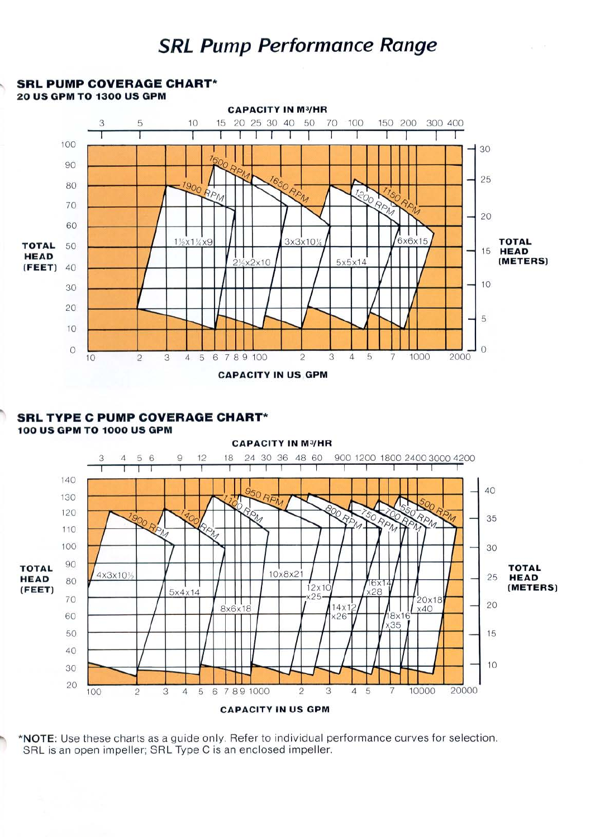## **SRL Pump Performance Range**



#### **SRL TYPE C PUMP COVERAGE CHART\* 100 US GPM TO 1000 US GPM**



\*NOTE: Use these charts as a guide only. Refer to individual performance curves for selection. SRL is an open impeller; SRL Type C is an enclosed impeller.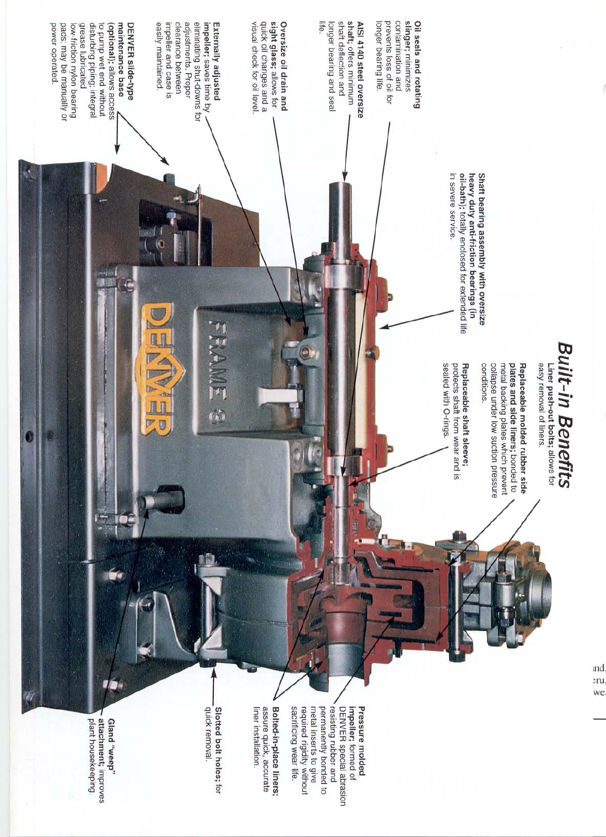

plant housekeeping. attachment; improves "daam, puug

permanently bonded to sacrificing wear life. impeller; formed of<br>DENVER special abrasion metal inserts to give resisting rubber and Pressure molded required rigidity without

ınd  $2ru$ we

Bolted-in-place liners; liner installation. assure quick, accurate

Slotted bolt holes; for quick removal.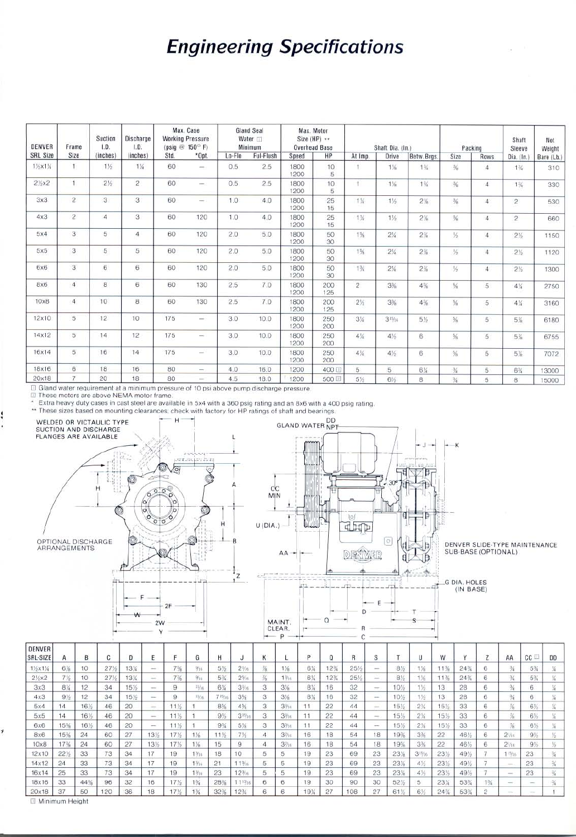## **Engineering Specifications**

| DENVER<br>SRL Size | Frame<br>Size  | Suction<br>1.D.<br>(inches) | Discharge<br>I.D.<br>(inches) | Max. Case<br><b>Working Pressure</b><br>$(psiq \otimes 150^{\circ} F)$ |                          | <b>Gland Seal</b><br>Water <sub>[1]</sub><br>Minimum |           | Max. Motor<br>Size (HP) **<br>Overhead Base |            | Shaft Dia. (In.) |         |                | Packing        |                  | Shaft<br>Sleeve | Net<br>Weight |
|--------------------|----------------|-----------------------------|-------------------------------|------------------------------------------------------------------------|--------------------------|------------------------------------------------------|-----------|---------------------------------------------|------------|------------------|---------|----------------|----------------|------------------|-----------------|---------------|
|                    |                |                             |                               | Std.                                                                   | *Opt.                    | Lo-Flo                                               | Ful-Flush | Speed                                       | <b>HP</b>  | At Imp.          | Drive   | Betw. Brgs.    | Size           | Rows             | Dia. (In.)      | Bare (Lb.)    |
| 1%x1%              | T.             | $1\frac{1}{2}$              | 1%                            | 60                                                                     | $\frac{1}{2}$            | 0.5                                                  | 2.5       | 1800<br>1200                                | 10<br>5    |                  | $1\%$   | $1\frac{3}{4}$ | $\frac{3}{26}$ | $\boldsymbol{A}$ | $1\%$           | 310           |
| $2\frac{1}{2}x^2$  | $\mathbf{1}$   | $2\%$                       | $\overline{2}$                | 60                                                                     | $\overline{\phantom{a}}$ | 0.5                                                  | 2.5       | 1800<br>1200                                | 10<br>5    |                  | $1\%$   | $1\%$          | $\frac{3}{6}$  | $\overline{4}$   | $1\%$           | 330           |
| 3x3                | $\overline{2}$ | 3                           | 3                             | 60                                                                     | $\frac{1}{2}$            | 1.0                                                  | 4.0       | 1800<br>1200                                | 25<br>15   | 1%               | 1%      | $2\%$          | $\frac{3}{8}$  | $\overline{4}$   | $\mathbf{2}$    | 530           |
| 4x3                | $\overline{c}$ | $\overline{4}$              | 3                             | 60                                                                     | 120                      | 1.0                                                  | 4.0       | 1800<br>1200                                | 25<br>15   | $1\%$            | 1%      | 2%             | $\frac{3}{8}$  | 4                | $\overline{c}$  | 660           |
| 5x4                | 3              | 5                           | 4                             | 60                                                                     | 120                      | 2.0                                                  | 5.0       | 1800<br>1200                                | 50<br>30   | 1%               | $2\%$   | 2%             | $\frac{1}{2}$  | $\overline{4}$   | $2\%$           | 1150          |
| 5x5                | 3              | 5                           | 5                             | 60                                                                     | 120                      | 2.0                                                  | 5.0       | 1800<br>1200                                | 50<br>30   | $1\%$            | $2\%$   | $2\%$          | $\frac{1}{2}$  | $\overline{4}$   | $2\%$           | 1120          |
| 6x6                | $\mathbf{3}$   | 6                           | 6                             | 60                                                                     | 120                      | 2.0                                                  | 5.0       | 1800<br>1200                                | 50<br>30   | $1\%$            | $2\%$   | $2\%$          | $\frac{1}{2}$  | $\overline{4}$   | $2\frac{1}{2}$  | 1300          |
| 8x6                | $\overline{a}$ | 8                           | 6                             | 60                                                                     | 130                      | 2.5                                                  | 7.0       | 1800<br>1200                                | 200<br>125 | $\overline{c}$   | 3%      | $4\%$          | %              | 5                | $4\%$           | 2750          |
| 10x8               | $\overline{4}$ | 10                          | 8                             | 60                                                                     | 130                      | 2.5                                                  | 7.0       | 1800<br>1200                                | 200<br>125 | $2\frac{1}{2}$   | 3%      | 4%             | %              | 5                | 4%              | 3160          |
| 12×10              | 5              | 12                          | 10                            | 175                                                                    | ÷                        | 3.0                                                  | 10.0      | 1800<br>1200                                | 250<br>200 | $3\%$            | $31\%6$ | $5\frac{1}{2}$ | 羚              | 5                | 5%              | 6180          |
| 14×12              | 5              | 14                          | 12                            | 175                                                                    | $\overline{\phantom{a}}$ | 3.0                                                  | 10.0      | 1800<br>1200                                | 250<br>200 | $4\%$            | 4%      | 6              | $\frac{4}{3}$  | 5                | 5%              | 6755          |
| 16x14              | 5              | 16                          | 14                            | 175                                                                    | $\sim$                   | 3.0                                                  | 10.0      | 1800<br>1200                                | 250<br>200 | $4\%$            | 4%      | 6              | $\frac{1}{2}$  | 5                | 5%              | 7072          |
| 18x16              | 6              | 18                          | 16                            | 80                                                                     | $\qquad \qquad$          | 4.0                                                  | 16.0      | 1200                                        | 400 回      | 5                | 5       | 6%             | $\frac{3}{4}$  | 5                | 6%              | 13000         |
| 20x18              | $\overline{7}$ | 20                          | 18                            | 80                                                                     | $\sim$                   | 4.5                                                  | 18.0      | 1200                                        | 500回       | 5%               | 6%      | 8              | $\frac{3}{4}$  | 5                | 8               | 15000         |

I Gland water requirement at a minimum pressure of 10 psi above pump discharge pressure.

回 These motors are above NEMA motor frame Į

Extra heavy duty cases in cast steel are available in 5x4 with a 360 psig rating and an 8x6 with a 400 psig rating.



 $22$ 

22

 $18$ 

18

23

23

 $23$ 

30

 $11$ 

 $11$ 

16

16

19

19

19

19

 $19<sub>2</sub>$  $\overline{27}$ 

 $3\%$ 

 $\overline{6}$ 

 $44$ 

44

54

54

69

69

69

90

108

15%

15%

19%

19%

23%

23%

 $23%$ 

61%

18

18

23

23

 $23$ 

30 52% 5

 $\overline{27}$ 

2%

 $2\%$ 

 $3%$ 

 $3%$ 22

 $3<sup>15</sup>$ 

41/

 $4%$ 

 $61$ 

15% 33

 $15<sup>1</sup>$ 33

 $\overline{22}$ 

 $23<sup>1</sup>$ 

 $23%$ 

 $23%$ 

23%

 $24%$ 

 $\ddot{6}$ 

 $\epsilon$ 

 $\overline{\bf 6}$ 

 $\overline{7}$ 

 $1\frac{3}{4}$ 

 $\overline{2}$ 

46%

46% 6

49%

49%

49%  $\overline{7}$ 

53%

53%

6%

 $6%$ V

 $9\frac{1}{2}$ 1/2

 $9%$ 

 $\overline{23}$ 

 $23\,$ 

 $\frac{1}{2}$ 

 $\frac{1}{2}$ 

¥.

 $\frac{3}{2}$ 

 $\frac{3\sqrt{3}}{2}$ 

 $\frac{3}{4}$ 

Ŧ

苶

 $2\%$ 

 $2\%$ 

 $1^{15/16}$ 23

33 37 □ Minimum Height

 $14$ 

15% 16%

15%

17% 24

22%

 $\overline{24}$ 

**16%** 

 $\overline{24}$ 

33

33

33

44%

50

46 20

46  $20$ 

60  $\overline{27}$ 

60 27

73 34

73

 $73\,$ 34

96 32

120

34

36

11%

11%  $\mathbf{1}$ 

 $17%$  $1\%$ 

17% 1%

19

19

19

179

 $17<sup>1</sup>$ 

13%

13%

17

 $17$ 

 $17$ 

16

18

 $\mathbf{1}$ 

 $1.366$ 

1%

 $1\frac{3}{2}16$  $23\,$ 

 $1\%$ 

 $1\%$ 

 $9\%$  $31%$ 

 $9\%$  $5\%$ 

 $11\frac{1}{2}$ 

15

18 10

 $^{21}$ 

28% 1133

32%  $123/$ 

 $7\frac{1}{2}$ 

 $\overline{9}$ 

11%

 $12\%6$ 

 $\overline{3}$  $3<sub>16</sub>$ 

 $^{\rm 3}$ 3%

 $\overline{4}$ 

 $\overline{4}$  $3\%$ 

5 5

5 5

 $\overline{5}$ 5

 $_{\rm 6}$  $\overline{6}$ 

 $\overline{6}$ 

 $5x5$ 

 $6x6$ 

 $8x6$ 

 $10x8$ 

12x10

 $14x12$ 

16x14 25

18x16

20x18